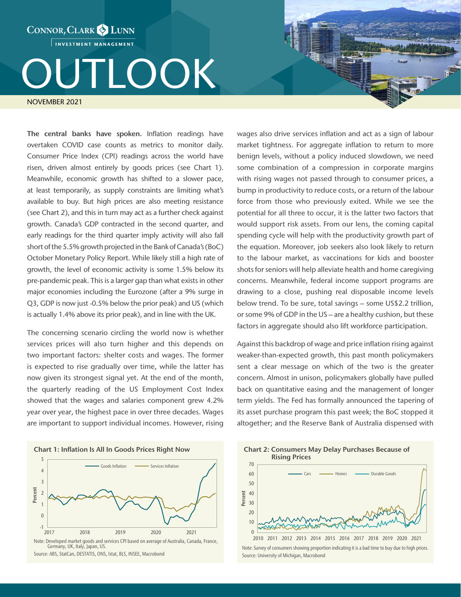INVESTMENT MANAGEMENT

CONNOR, CLARK & LUNN

## TLOOK

NOVEMBER 2021

The central banks have spoken. Inflation readings have overtaken COVID case counts as metrics to monitor daily. Consumer Price Index (CPI) readings across the world have risen, driven almost entirely by goods prices (see Chart 1). Meanwhile, economic growth has shifted to a slower pace, at least temporarily, as supply constraints are limiting what's available to buy. But high prices are also meeting resistance (see Chart 2), and this in turn may act as a further check against growth. Canada's GDP contracted in the second quarter, and early readings for the third quarter imply activity will also fall short of the 5.5% growth projected in the Bank of Canada's (BoC) October Monetary Policy Report. While likely still a high rate of growth, the level of economic activity is some 1.5% below its pre-pandemic peak. This is a larger gap than what exists in other major economies including the Eurozone (after a 9% surge in Q3, GDP is now just -0.5% below the prior peak) and US (which is actually 1.4% above its prior peak), and in line with the UK.

The concerning scenario circling the world now is whether services prices will also turn higher and this depends on two important factors: shelter costs and wages. The former is expected to rise gradually over time, while the latter has now given its strongest signal yet. At the end of the month, the quarterly reading of the US Employment Cost Index showed that the wages and salaries component grew 4.2% year over year, the highest pace in over three decades. Wages are important to support individual incomes. However, rising



Germany, UK, Italy, Japan, US. Source: ABS, StatCan, DESTATIS, ONS, Istat, BLS, INSEE, Macrobond wages also drive services inflation and act as a sign of labour market tightness. For aggregate inflation to return to more benign levels, without a policy induced slowdown, we need some combination of a compression in corporate margins with rising wages not passed through to consumer prices, a bump in productivity to reduce costs, or a return of the labour force from those who previously exited. While we see the potential for all three to occur, it is the latter two factors that would support risk assets. From our lens, the coming capital spending cycle will help with the productivity growth part of the equation. Moreover, job seekers also look likely to return to the labour market, as vaccinations for kids and booster shots for seniors will help alleviate health and home caregiving concerns. Meanwhile, federal income support programs are drawing to a close, pushing real disposable income levels below trend. To be sure, total savings – some US\$2.2 trillion, or some 9% of GDP in the US – are a healthy cushion, but these factors in aggregate should also lift workforce participation.

Against this backdrop of wage and price inflation rising against weaker-than-expected growth, this past month policymakers sent a clear message on which of the two is the greater concern. Almost in unison, policymakers globally have pulled back on quantitative easing and the management of longer term yields. The Fed has formally announced the tapering of its asset purchase program this past week; the BoC stopped it altogether; and the Reserve Bank of Australia dispensed with

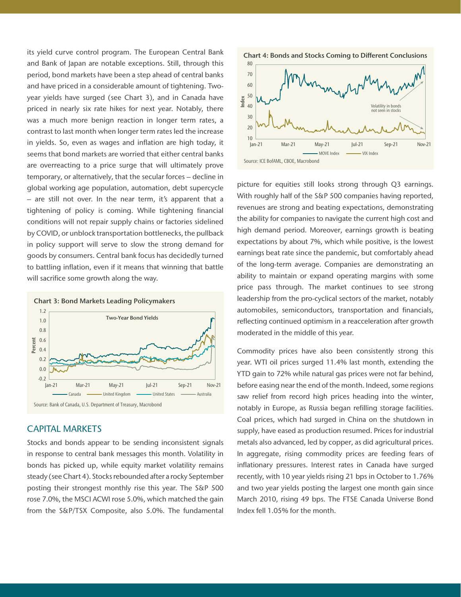its yield curve control program. The European Central Bank and Bank of Japan are notable exceptions. Still, through this period, bond markets have been a step ahead of central banks and have priced in a considerable amount of tightening. Twoyear yields have surged (see Chart 3), and in Canada have priced in nearly six rate hikes for next year. Notably, there was a much more benign reaction in longer term rates, a contrast to last month when longer term rates led the increase in yields. So, even as wages and inflation are high today, it seems that bond markets are worried that either central banks are overreacting to a price surge that will ultimately prove temporary, or alternatively, that the secular forces – decline in global working age population, automation, debt supercycle – are still not over. In the near term, it's apparent that a tightening of policy is coming. While tightening financial conditions will not repair supply chains or factories sidelined by COVID, or unblock transportation bottlenecks, the pullback in policy support will serve to slow the strong demand for goods by consumers. Central bank focus has decidedly turned to battling inflation, even if it means that winning that battle will sacrifice some growth along the way.



## CAPITAL MARKETS

Stocks and bonds appear to be sending inconsistent signals in response to central bank messages this month. Volatility in bonds has picked up, while equity market volatility remains steady (see Chart 4). Stocks rebounded after a rocky September posting their strongest monthly rise this year. The S&P 500 rose 7.0%, the MSCI ACWI rose 5.0%, which matched the gain from the S&P/TSX Composite, also 5.0%. The fundamental



picture for equities still looks strong through Q3 earnings. With roughly half of the S&P 500 companies having reported, revenues are strong and beating expectations, demonstrating the ability for companies to navigate the current high cost and high demand period. Moreover, earnings growth is beating expectations by about 7%, which while positive, is the lowest earnings beat rate since the pandemic, but comfortably ahead of the long-term average. Companies are demonstrating an ability to maintain or expand operating margins with some price pass through. The market continues to see strong leadership from the pro-cyclical sectors of the market, notably automobiles, semiconductors, transportation and financials, reflecting continued optimism in a reacceleration after growth moderated in the middle of this year.

Commodity prices have also been consistently strong this year. WTI oil prices surged 11.4% last month, extending the YTD gain to 72% while natural gas prices were not far behind, before easing near the end of the month. Indeed, some regions saw relief from record high prices heading into the winter, notably in Europe, as Russia began refilling storage facilities. Coal prices, which had surged in China on the shutdown in supply, have eased as production resumed. Prices for industrial metals also advanced, led by copper, as did agricultural prices. In aggregate, rising commodity prices are feeding fears of inflationary pressures. Interest rates in Canada have surged recently, with 10 year yields rising 21 bps in October to 1.76% and two year yields posting the largest one month gain since March 2010, rising 49 bps. The FTSE Canada Universe Bond Index fell 1.05% for the month.